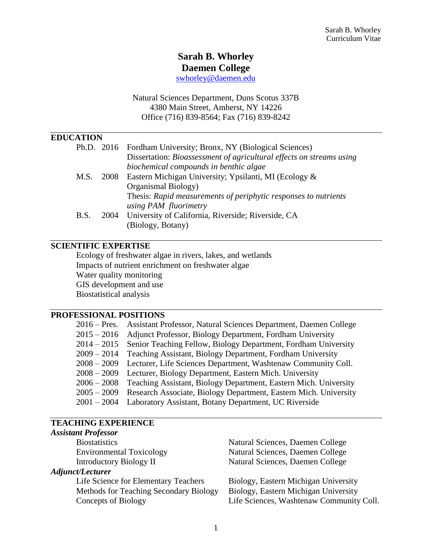# **Sarah B. Whorley**

**Daemen College**

[swhorley@daemen.edu](mailto:swhorley@daemen.edu)

Natural Sciences Department, Duns Scotus 337B 4380 Main Street, Amherst, NY 14226 Office (716) 839-8564; Fax (716) 839-8242

## **EDUCATION**

|      |      | Ph.D. 2016 Fordham University; Bronx, NY (Biological Sciences)       |
|------|------|----------------------------------------------------------------------|
|      |      | Dissertation: Bioassessment of agricultural effects on streams using |
|      |      | biochemical compounds in benthic algae                               |
| M.S. | 2008 | Eastern Michigan University; Ypsilanti, MI (Ecology &                |
|      |      | Organismal Biology)                                                  |
|      |      | Thesis: Rapid measurements of periphytic responses to nutrients      |
|      |      | using PAM fluorimetry                                                |
| B.S. | 2004 | University of California, Riverside; Riverside, CA                   |
|      |      | (Biology, Botany)                                                    |

## **SCIENTIFIC EXPERTISE**

Ecology of freshwater algae in rivers, lakes, and wetlands Impacts of nutrient enrichment on freshwater algae Water quality monitoring GIS development and use Biostatistical analysis

#### **PROFESSIONAL POSITIONS**

| $2016$ – Pres. | Assistant Professor, Natural Sciences Department, Daemen College |
|----------------|------------------------------------------------------------------|
| $2015 - 2016$  | Adjunct Professor, Biology Department, Fordham University        |
| $2014 - 2015$  | Senior Teaching Fellow, Biology Department, Fordham University   |
| $2009 - 2014$  | Teaching Assistant, Biology Department, Fordham University       |
| $2008 - 2009$  | Lecturer, Life Sciences Department, Washtenaw Community Coll.    |
| $2008 - 2009$  | Lecturer, Biology Department, Eastern Mich. University           |
| $2006 - 2008$  | Teaching Assistant, Biology Department, Eastern Mich. University |
| $2005 - 2009$  | Research Associate, Biology Department, Eastern Mich. University |
| $2001 - 2004$  | Laboratory Assistant, Botany Department, UC Riverside            |

#### **TEACHING EXPERIENCE** *Assistant Professor*

| <b>Assistant Professor</b>             |                                          |
|----------------------------------------|------------------------------------------|
| <b>Biostatistics</b>                   | Natural Sciences, Daemen College         |
| <b>Environmental Toxicology</b>        | Natural Sciences, Daemen College         |
| <b>Introductory Biology II</b>         | Natural Sciences, Daemen College         |
| Adjunct/Lecturer                       |                                          |
| Life Science for Elementary Teachers   | Biology, Eastern Michigan University     |
| Methods for Teaching Secondary Biology | Biology, Eastern Michigan University     |
| Concepts of Biology                    | Life Sciences, Washtenaw Community Coll. |
|                                        |                                          |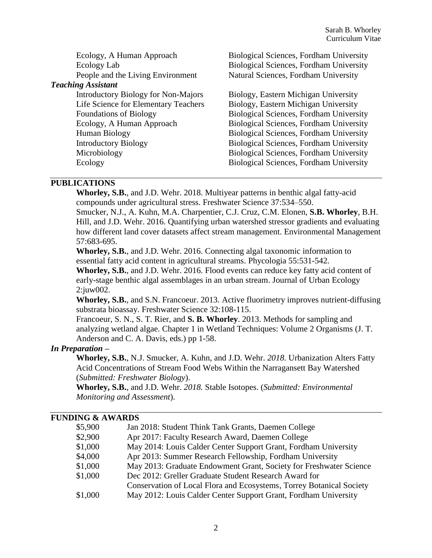| Ecology, A Human Approach                  | <b>Biological Sciences, Fordham University</b> |
|--------------------------------------------|------------------------------------------------|
| Ecology Lab                                | <b>Biological Sciences, Fordham University</b> |
| People and the Living Environment          | Natural Sciences, Fordham University           |
| <b>Teaching Assistant</b>                  |                                                |
| <b>Introductory Biology for Non-Majors</b> | Biology, Eastern Michigan University           |
| Life Science for Elementary Teachers       | Biology, Eastern Michigan University           |
| <b>Foundations of Biology</b>              | <b>Biological Sciences, Fordham University</b> |
| Ecology, A Human Approach                  | Biological Sciences, Fordham University        |
| Human Biology                              | Biological Sciences, Fordham University        |
| <b>Introductory Biology</b>                | <b>Biological Sciences, Fordham University</b> |
| Microbiology                               | Biological Sciences, Fordham University        |
| Ecology                                    | <b>Biological Sciences, Fordham University</b> |
|                                            |                                                |

#### **PUBLICATIONS**

**Whorley, S.B.**, and J.D. Wehr. 2018. Multiyear patterns in benthic algal fatty-acid compounds under agricultural stress. Freshwater Science 37:534–550.

Smucker, N.J., A. Kuhn, M.A. Charpentier, C.J. Cruz, C.M. Elonen, **S.B. Whorley**, B.H. Hill, and J.D. Wehr. 2016. Quantifying urban watershed stressor gradients and evaluating how different land cover datasets affect stream management. Environmental Management 57:683-695.

**Whorley, S.B.**, and J.D. Wehr. 2016. Connecting algal taxonomic information to essential fatty acid content in agricultural streams. Phycologia 55:531-542.

**Whorley, S.B.**, and J.D. Wehr. 2016. Flood events can reduce key fatty acid content of early-stage benthic algal assemblages in an urban stream. Journal of Urban Ecology 2:juw002.

**Whorley, S.B.**, and S.N. Francoeur. 2013. Active fluorimetry improves nutrient-diffusing substrata bioassay. Freshwater Science 32:108-115.

Francoeur, S. N., S. T. Rier, and **S. B. Whorley**. 2013. Methods for sampling and analyzing wetland algae. Chapter 1 in Wetland Techniques: Volume 2 Organisms (J. T. Anderson and C. A. Davis, eds.) pp 1-58.

#### *In Preparation –*

**Whorley, S.B.**, N.J. Smucker, A. Kuhn, and J.D. Wehr. *2018.* Urbanization Alters Fatty Acid Concentrations of Stream Food Webs Within the Narragansett Bay Watershed (*Submitted: Freshwater Biology*).

**Whorley, S.B.**, and J.D. Wehr. *2018.* Stable Isotopes. (*Submitted: Environmental Monitoring and Assessment*).

#### **FUNDING & AWARDS**

| \$5,900 | Jan 2018: Student Think Tank Grants, Daemen College                  |
|---------|----------------------------------------------------------------------|
| \$2,900 | Apr 2017: Faculty Research Award, Daemen College                     |
| \$1,000 | May 2014: Louis Calder Center Support Grant, Fordham University      |
| \$4,000 | Apr 2013: Summer Research Fellowship, Fordham University             |
| \$1,000 | May 2013: Graduate Endowment Grant, Society for Freshwater Science   |
| \$1,000 | Dec 2012: Greller Graduate Student Research Award for                |
|         | Conservation of Local Flora and Ecosystems, Torrey Botanical Society |
| \$1,000 | May 2012: Louis Calder Center Support Grant, Fordham University      |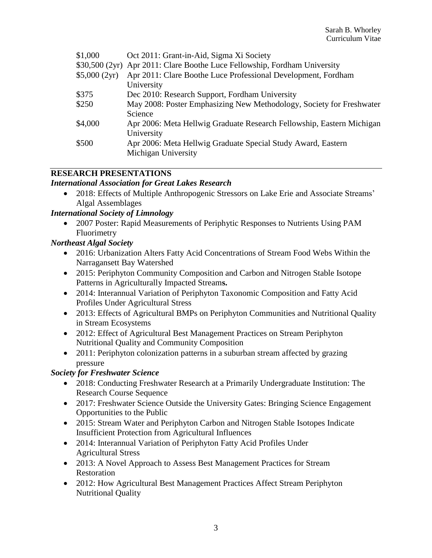| \$1,000      | Oct 2011: Grant-in-Aid, Sigma Xi Society                                  |
|--------------|---------------------------------------------------------------------------|
|              | \$30,500 (2yr) Apr 2011: Clare Boothe Luce Fellowship, Fordham University |
| \$5,000(2yr) | Apr 2011: Clare Boothe Luce Professional Development, Fordham             |
|              | University                                                                |
| \$375        | Dec 2010: Research Support, Fordham University                            |
| \$250        | May 2008: Poster Emphasizing New Methodology, Society for Freshwater      |
|              | Science                                                                   |
| \$4,000      | Apr 2006: Meta Hellwig Graduate Research Fellowship, Eastern Michigan     |
|              | University                                                                |
| \$500        | Apr 2006: Meta Hellwig Graduate Special Study Award, Eastern              |
|              | Michigan University                                                       |
|              |                                                                           |

## **RESEARCH PRESENTATIONS**

#### *International Association for Great Lakes Research*

• 2018: Effects of Multiple Anthropogenic Stressors on Lake Erie and Associate Streams' Algal Assemblages

#### *International Society of Limnology*

 2007 Poster: Rapid Measurements of Periphytic Responses to Nutrients Using PAM Fluorimetry

## *Northeast Algal Society*

- 2016: Urbanization Alters Fatty Acid Concentrations of Stream Food Webs Within the Narragansett Bay Watershed
- 2015: Periphyton Community Composition and Carbon and Nitrogen Stable Isotope Patterns in Agriculturally Impacted Stream**s.**
- 2014: Interannual Variation of Periphyton Taxonomic Composition and Fatty Acid Profiles Under Agricultural Stress
- 2013: Effects of Agricultural BMPs on Periphyton Communities and Nutritional Quality in Stream Ecosystems
- 2012: Effect of Agricultural Best Management Practices on Stream Periphyton Nutritional Quality and Community Composition
- 2011: Periphyton colonization patterns in a suburban stream affected by grazing pressure

## *Society for Freshwater Science*

- 2018: Conducting Freshwater Research at a Primarily Undergraduate Institution: The Research Course Sequence
- 2017: Freshwater Science Outside the University Gates: Bringing Science Engagement Opportunities to the Public
- 2015: Stream Water and Periphyton Carbon and Nitrogen Stable Isotopes Indicate Insufficient Protection from Agricultural Influences
- 2014: Interannual Variation of Periphyton Fatty Acid Profiles Under Agricultural Stress
- 2013: A Novel Approach to Assess Best Management Practices for Stream Restoration
- 2012: How Agricultural Best Management Practices Affect Stream Periphyton Nutritional Quality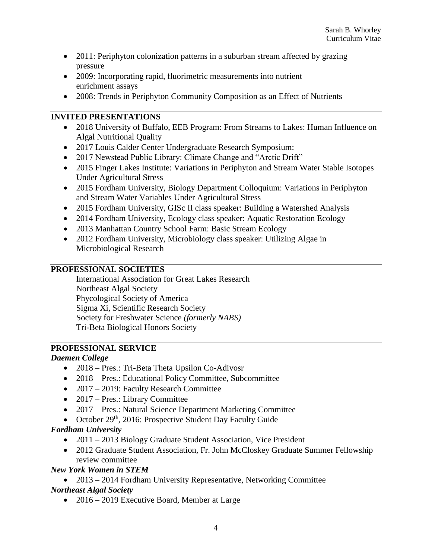- 2011: Periphyton colonization patterns in a suburban stream affected by grazing pressure
- 2009: Incorporating rapid, fluorimetric measurements into nutrient enrichment assays
- 2008: Trends in Periphyton Community Composition as an Effect of Nutrients

## **INVITED PRESENTATIONS**

- 2018 University of Buffalo, EEB Program: From Streams to Lakes: Human Influence on Algal Nutritional Quality
- 2017 Louis Calder Center Undergraduate Research Symposium:
- 2017 Newstead Public Library: Climate Change and "Arctic Drift"
- 2015 Finger Lakes Institute: Variations in Periphyton and Stream Water Stable Isotopes Under Agricultural Stress
- 2015 Fordham University, Biology Department Colloquium: Variations in Periphyton and Stream Water Variables Under Agricultural Stress
- 2015 Fordham University, GISc II class speaker: Building a Watershed Analysis
- 2014 Fordham University, Ecology class speaker: Aquatic Restoration Ecology
- 2013 Manhattan Country School Farm: Basic Stream Ecology
- 2012 Fordham University, Microbiology class speaker: Utilizing Algae in Microbiological Research

## **PROFESSIONAL SOCIETIES**

International Association for Great Lakes Research Northeast Algal Society Phycological Society of America Sigma Xi, Scientific Research Society Society for Freshwater Science *(formerly NABS)* Tri-Beta Biological Honors Society

## **PROFESSIONAL SERVICE**

## *Daemen College*

- 2018 Pres.: Tri-Beta Theta Upsilon Co-Adivosr
- 2018 Pres.: Educational Policy Committee, Subcommittee
- 2017 2019: Faculty Research Committee
- 2017 Pres.: Library Committee
- 2017 Pres.: Natural Science Department Marketing Committee
- October  $29<sup>th</sup>$ , 2016: Prospective Student Day Faculty Guide

## *Fordham University*

- 2011 2013 Biology Graduate Student Association, Vice President
- 2012 Graduate Student Association, Fr. John McCloskey Graduate Summer Fellowship review committee

## *New York Women in STEM*

• 2013 – 2014 Fordham University Representative, Networking Committee *Northeast Algal Society*

• 2016 – 2019 Executive Board, Member at Large